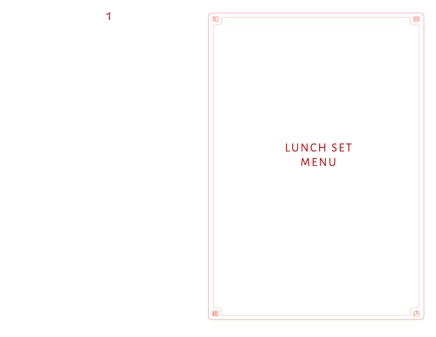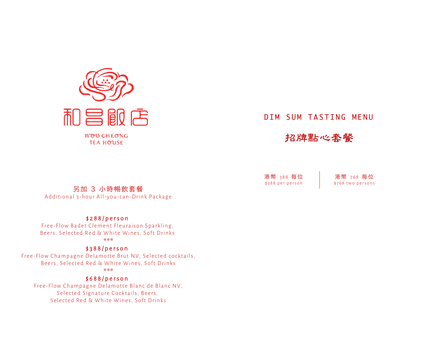

**TEA HOUSE** 

### DIM SUM TASTING MENU

### 招牌點心套餐

另加 3 小時䆽飲套餐

Additional 3-hour All-you-can-Drink Package

#### \$288/person

Free-Flow Badet Clement Fleuraison Sparkling, Beers, Selected Red & White Wines, Soft Drinks \*\*\*

#### \$388/person

Free-Flow Champagne Delamotte Brut NV, Selected cocktails, Beers, Selected Red & White Wines, Soft Drinks \*\*\*

#### \$688/person

Free-Flow Champagne Delamotte Blanc de Blanc NV, Selected Signature Cocktails, Beers, Selected Red & White Wines, Soft Drinks

港 幣 388 每 位 \$388 per person 港 幣 768 每 位 \$768 two persons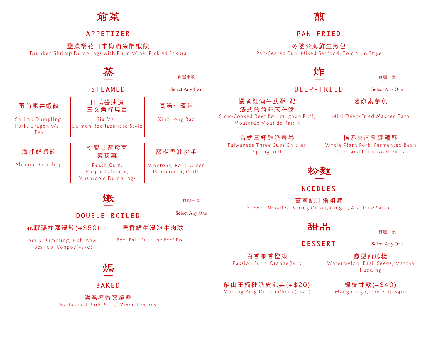

#### APPETIZER

#### 鹽漬櫻花日本梅酒凍醉蝦餃

Drunken Shrimp Dumplings with Plum Wine, Pickled Sakura

# 烈

#### P A N - FRIED

#### 冬陰公海鮮生煎包

Pan-Seared Bun, Mixed Seafood, Tom Yum Stlye

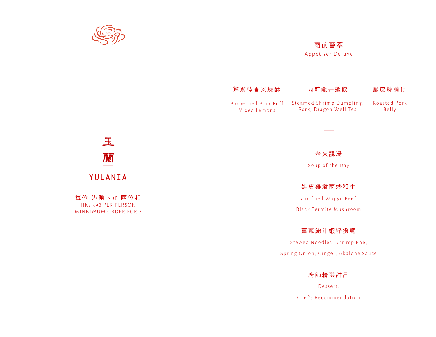

#### 雨前薈萃

Appetiser Deluxe

——



老火靚湯

Soup of the Day

#### 黑皮雞瑽菌炒和牛

Stir-fried Wagyu Beef,

Black Termite Mushroom

#### 薑蔥鮑汁蝦籽撈麵

Stewed Noodles, Shrimp Roe, Spring Onion, Ginger, Abalone Sauce

廚師精選甜品

Dessert, Chef's Recommendation

# 玉 蘭 YULANIA

每位 港幣 398 兩位起 HK\$ 398 PER PERSON MINNIMUM ORDER FOR 2